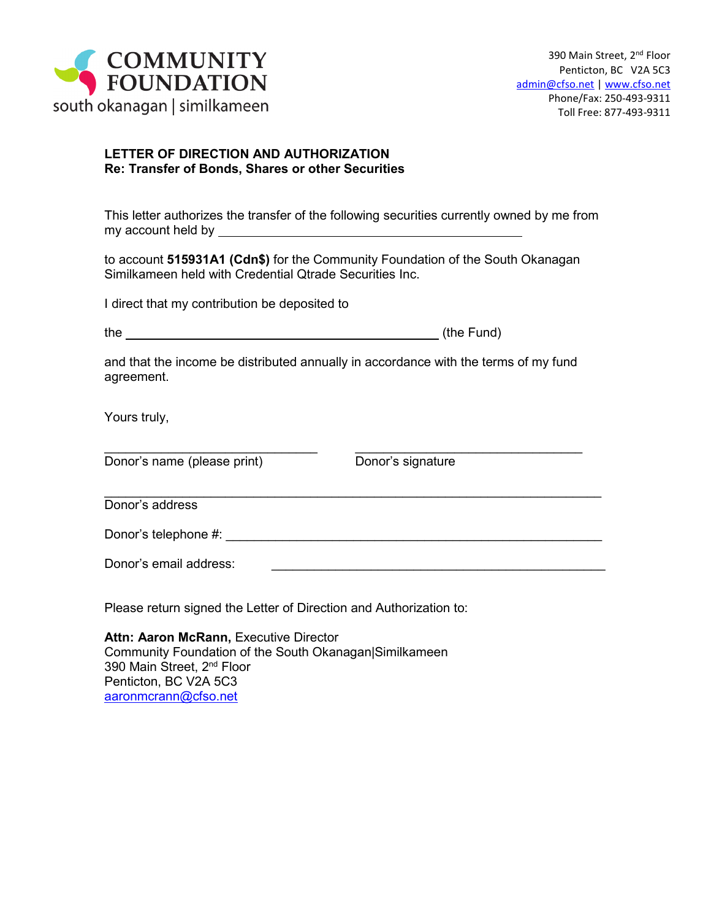

## **LETTER OF DIRECTION AND AUTHORIZATION Re: Transfer of Bonds, Shares or other Securities**

This letter authorizes the transfer of the following securities currently owned by me from my account held by

to account **515931A1 (Cdn\$)** for the Community Foundation of the South Okanagan Similkameen held with Credential Qtrade Securities Inc.

I direct that my contribution be deposited to

and that the income be distributed annually in accordance with the terms of my fund agreement.

\_\_\_\_\_\_\_\_\_\_\_\_\_\_\_\_\_\_\_\_\_\_\_\_\_\_\_\_\_\_ \_\_\_\_\_\_\_\_\_\_\_\_\_\_\_\_\_\_\_\_\_\_\_\_\_\_\_\_\_\_\_\_

Yours truly,

Donor's name (please print) Donor's signature

 $\_$  , and the set of the set of the set of the set of the set of the set of the set of the set of the set of the set of the set of the set of the set of the set of the set of the set of the set of the set of the set of th Donor's address

Donor's telephone #: \_\_\_\_\_\_\_\_\_\_\_\_\_\_\_\_\_\_\_\_\_\_\_\_\_\_\_\_\_\_\_\_\_\_\_\_\_\_\_\_\_\_\_\_\_\_\_\_\_\_\_\_\_

Donor's email address:

Please return signed the Letter of Direction and Authorization to:

**Attn: Aaron McRann,** Executive Director Community Foundation of the South Okanagan|Similkameen 390 Main Street, 2<sup>nd</sup> Floor Penticton, BC V2A 5C3 [aaronmcrann@cfso.net](mailto:aaronmcrann@cfso.net)